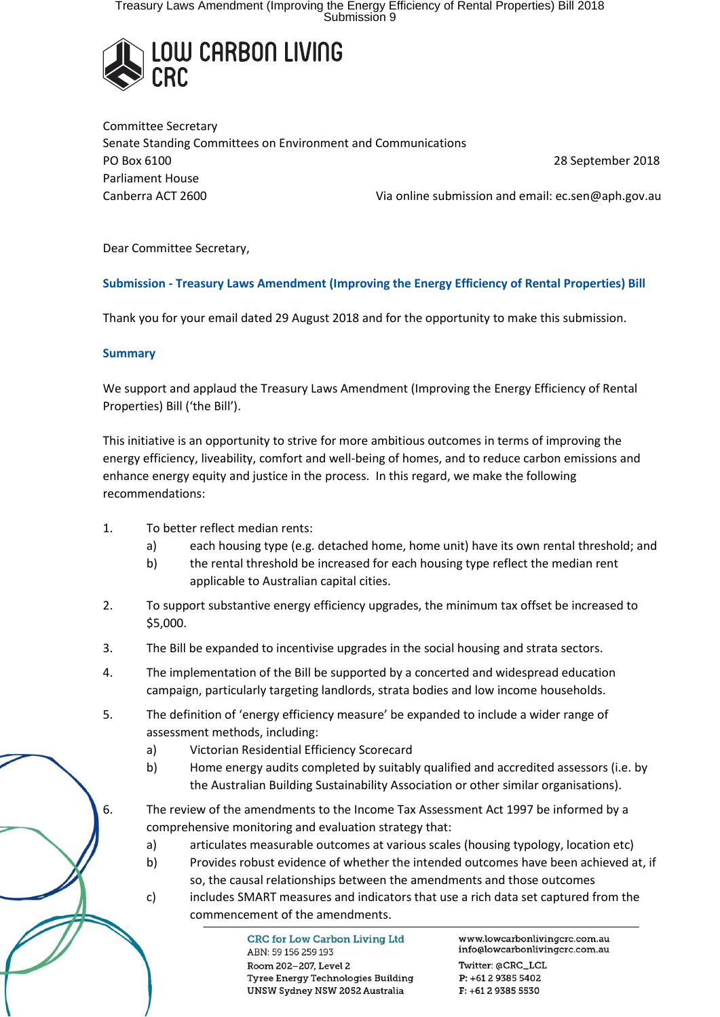Treasury Laws Amendment (Improving the Energy Efficiency of Rental Properties) Bill 2018<br>Submission 9



Committee Secretary Senate Standing Committees on Environment and Communications PO Box 6100 28 September 2018 Parliament House Canberra ACT 2600 Via online submission and email: ec.sen@aph.gov.au

Dear Committee Secretary,

## **Submission - Treasury Laws Amendment (Improving the Energy Efficiency of Rental Properties) Bill**

Thank you for your email dated 29 August 2018 and for the opportunity to make this submission.

#### **Summary**

We support and applaud the Treasury Laws Amendment (Improving the Energy Efficiency of Rental Properties) Bill ('the Bill').

This initiative is an opportunity to strive for more ambitious outcomes in terms of improving the energy efficiency, liveability, comfort and well-being of homes, and to reduce carbon emissions and enhance energy equity and justice in the process. In this regard, we make the following recommendations:

- 1. To better reflect median rents:
	- a) each housing type (e.g. detached home, home unit) have its own rental threshold; and
	- b) the rental threshold be increased for each housing type reflect the median rent applicable to Australian capital cities.
- 2. To support substantive energy efficiency upgrades, the minimum tax offset be increased to \$5,000.
- 3. The Bill be expanded to incentivise upgrades in the social housing and strata sectors.
- 4. The implementation of the Bill be supported by a concerted and widespread education campaign, particularly targeting landlords, strata bodies and low income households.
- 5. The definition of 'energy efficiency measure' be expanded to include a wider range of assessment methods, including:
	- a) Victorian Residential Efficiency Scorecard
	- b) Home energy audits completed by suitably qualified and accredited assessors (i.e. by the Australian Building Sustainability Association or other similar organisations).
- 6. The review of the amendments to the Income Tax Assessment Act 1997 be informed by a comprehensive monitoring and evaluation strategy that:
	- a) articulates measurable outcomes at various scales (housing typology, location etc)
	- b) Provides robust evidence of whether the intended outcomes have been achieved at, if so, the causal relationships between the amendments and those outcomes
	- c) includes SMART measures and indicators that use a rich data set captured from the commencement of the amendments.

**CRC for Low Carbon Living Ltd** ABN: 59 156 259 193 Room 202-207, Level 2 Tyree Energy Technologies Building UNSW Sydney NSW 2052 Australia

www.lowcarbonlivingcrc.com.au info@lowcarbonlivingcrc.com.au

Twitter: @CRC\_LCL  $P: +61293855402$  $F: +61293855530$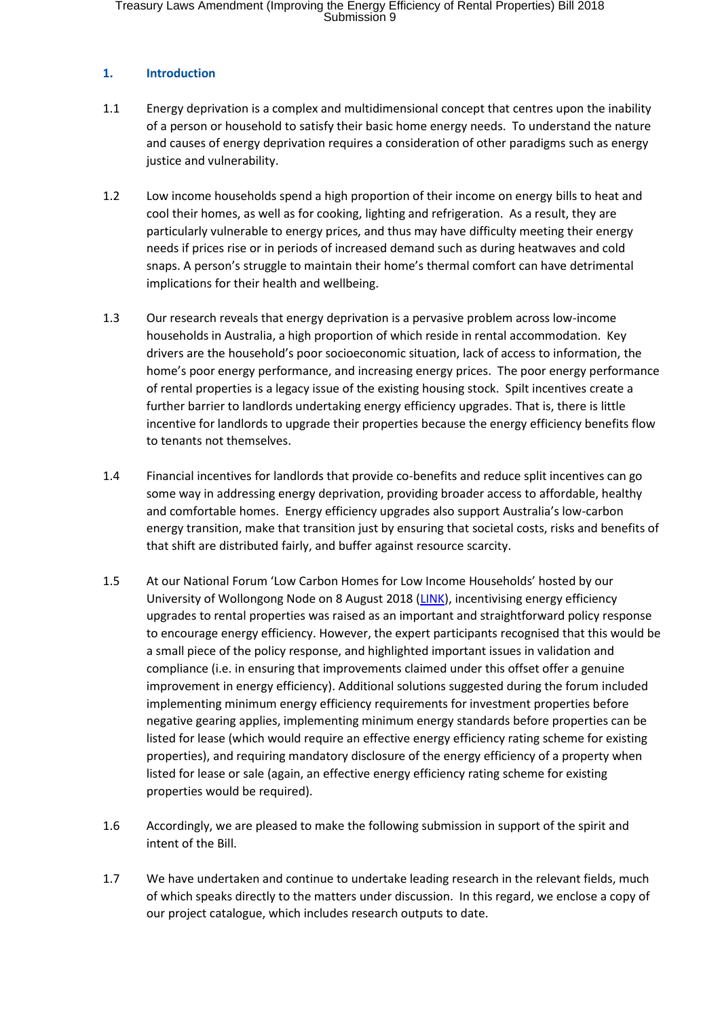Treasury Laws Amendment (Improving the Energy Efficiency of Rental Properties) Bill 2018<br>Submission 9

#### **1. Introduction**

- 1.1 Energy deprivation is a complex and multidimensional concept that centres upon the inability of a person or household to satisfy their basic home energy needs. To understand the nature and causes of energy deprivation requires a consideration of other paradigms such as energy justice and vulnerability.
- 1.2 Low income households spend a high proportion of their income on energy bills to heat and cool their homes, as well as for cooking, lighting and refrigeration. As a result, they are particularly vulnerable to energy prices, and thus may have difficulty meeting their energy needs if prices rise or in periods of increased demand such as during heatwaves and cold snaps. A person's struggle to maintain their home's thermal comfort can have detrimental implications for their health and wellbeing.
- 1.3 Our research reveals that energy deprivation is a pervasive problem across low-income households in Australia, a high proportion of which reside in rental accommodation. Key drivers are the household's poor socioeconomic situation, lack of access to information, the home's poor energy performance, and increasing energy prices. The poor energy performance of rental properties is a legacy issue of the existing housing stock. Spilt incentives create a further barrier to landlords undertaking energy efficiency upgrades. That is, there is little incentive for landlords to upgrade their properties because the energy efficiency benefits flow to tenants not themselves.
- 1.4 Financial incentives for landlords that provide co-benefits and reduce split incentives can go some way in addressing energy deprivation, providing broader access to affordable, healthy and comfortable homes. Energy efficiency upgrades also support Australia's low-carbon energy transition, make that transition just by ensuring that societal costs, risks and benefits of that shift are distributed fairly, and buffer against resource scarcity.
- 1.5 At our National Forum 'Low Carbon Homes for Low Income Households' hosted by our University of Wollongong Node on 8 August 2018 [\(LINK\)](http://www.lowcarbonlivingcrc.com.au/events/2018/06/national-forum-low-carbon-homes-low-income-households), incentivising energy efficiency upgrades to rental properties was raised as an important and straightforward policy response to encourage energy efficiency. However, the expert participants recognised that this would be a small piece of the policy response, and highlighted important issues in validation and compliance (i.e. in ensuring that improvements claimed under this offset offer a genuine improvement in energy efficiency). Additional solutions suggested during the forum included implementing minimum energy efficiency requirements for investment properties before negative gearing applies, implementing minimum energy standards before properties can be listed for lease (which would require an effective energy efficiency rating scheme for existing properties), and requiring mandatory disclosure of the energy efficiency of a property when listed for lease or sale (again, an effective energy efficiency rating scheme for existing properties would be required).
- 1.6 Accordingly, we are pleased to make the following submission in support of the spirit and intent of the Bill.
- 1.7 We have undertaken and continue to undertake leading research in the relevant fields, much of which speaks directly to the matters under discussion. In this regard, we enclose a copy of our project catalogue, which includes research outputs to date.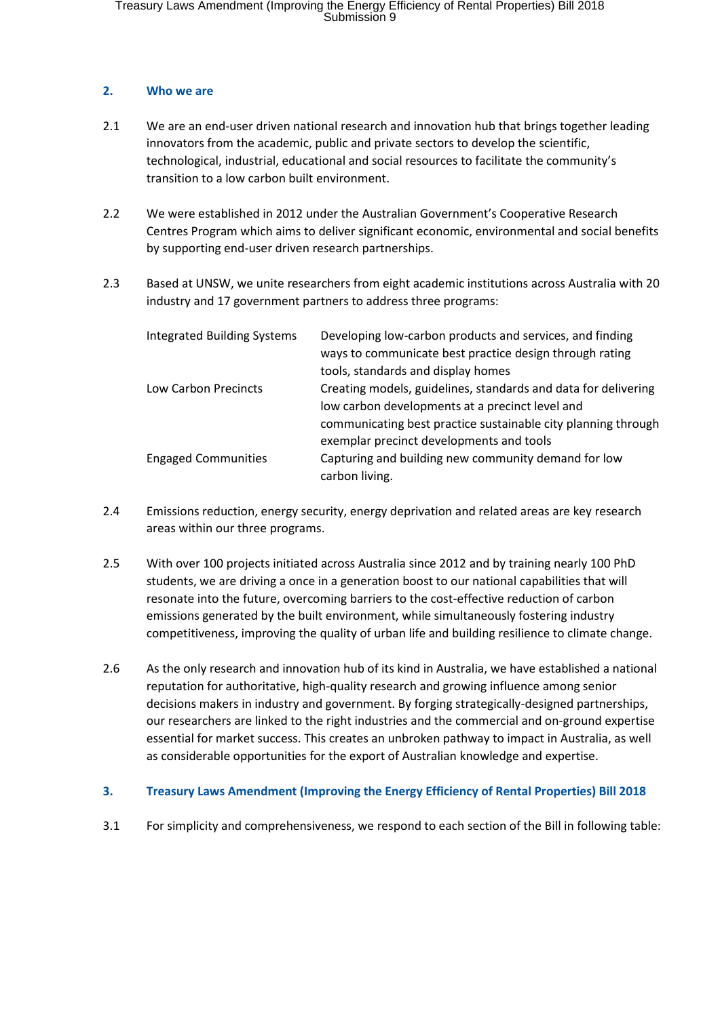## **2. Who we are**

- 2.1 We are an end-user driven national research and innovation hub that brings together leading innovators from the academic, public and private sectors to develop the scientific, technological, industrial, educational and social resources to facilitate the community's transition to a low carbon built environment.
- 2.2 We were established in 2012 under the Australian Government's Cooperative Research Centres Program which aims to deliver significant economic, environmental and social benefits by supporting end-user driven research partnerships.
- 2.3 Based at UNSW, we unite researchers from eight academic institutions across Australia with 20 industry and 17 government partners to address three programs:

| <b>Integrated Building Systems</b> | Developing low-carbon products and services, and finding<br>ways to communicate best practice design through rating<br>tools, standards and display homes                          |
|------------------------------------|------------------------------------------------------------------------------------------------------------------------------------------------------------------------------------|
| Low Carbon Precincts               | Creating models, guidelines, standards and data for delivering<br>low carbon developments at a precinct level and                                                                  |
| <b>Engaged Communities</b>         | communicating best practice sustainable city planning through<br>exemplar precinct developments and tools<br>Capturing and building new community demand for low<br>carbon living. |

- 2.4 Emissions reduction, energy security, energy deprivation and related areas are key research areas within our three programs.
- 2.5 With over 100 projects initiated across Australia since 2012 and by training nearly 100 PhD students, we are driving a once in a generation boost to our national capabilities that will resonate into the future, overcoming barriers to the cost-effective reduction of carbon emissions generated by the built environment, while simultaneously fostering industry competitiveness, improving the quality of urban life and building resilience to climate change.
- 2.6 As the only research and innovation hub of its kind in Australia, we have established a national reputation for authoritative, high-quality research and growing influence among senior decisions makers in industry and government. By forging strategically-designed partnerships, our researchers are linked to the right industries and the commercial and on-ground expertise essential for market success. This creates an unbroken pathway to impact in Australia, as well as considerable opportunities for the export of Australian knowledge and expertise.

## **3. Treasury Laws Amendment (Improving the Energy Efficiency of Rental Properties) Bill 2018**

3.1 For simplicity and comprehensiveness, we respond to each section of the Bill in following table: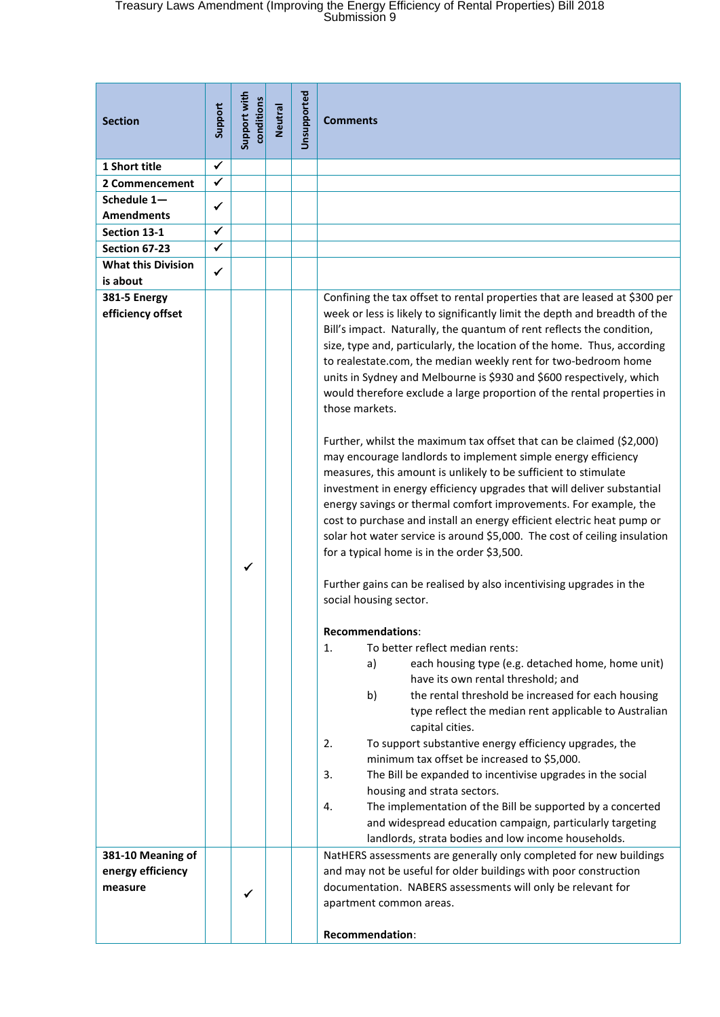# Treasury Laws Amendment (Improving the Energy Efficiency of Rental Properties) Bill 2018 Submission 9

| <b>Section</b>                                    | Support      | Support with<br>conditions | Neutral | Unsupported | <b>Comments</b>                                                                                                                                                                                                                                                                                                                                                                                                                                                                                                                                                                                                                                                                                                                                                                                                                                                                                                                                                                                                                                                                                                    |
|---------------------------------------------------|--------------|----------------------------|---------|-------------|--------------------------------------------------------------------------------------------------------------------------------------------------------------------------------------------------------------------------------------------------------------------------------------------------------------------------------------------------------------------------------------------------------------------------------------------------------------------------------------------------------------------------------------------------------------------------------------------------------------------------------------------------------------------------------------------------------------------------------------------------------------------------------------------------------------------------------------------------------------------------------------------------------------------------------------------------------------------------------------------------------------------------------------------------------------------------------------------------------------------|
| 1 Short title                                     | $\checkmark$ |                            |         |             |                                                                                                                                                                                                                                                                                                                                                                                                                                                                                                                                                                                                                                                                                                                                                                                                                                                                                                                                                                                                                                                                                                                    |
| 2 Commencement                                    | $\checkmark$ |                            |         |             |                                                                                                                                                                                                                                                                                                                                                                                                                                                                                                                                                                                                                                                                                                                                                                                                                                                                                                                                                                                                                                                                                                                    |
| Schedule 1-                                       |              |                            |         |             |                                                                                                                                                                                                                                                                                                                                                                                                                                                                                                                                                                                                                                                                                                                                                                                                                                                                                                                                                                                                                                                                                                                    |
| <b>Amendments</b>                                 | ✓            |                            |         |             |                                                                                                                                                                                                                                                                                                                                                                                                                                                                                                                                                                                                                                                                                                                                                                                                                                                                                                                                                                                                                                                                                                                    |
| Section 13-1                                      | $\checkmark$ |                            |         |             |                                                                                                                                                                                                                                                                                                                                                                                                                                                                                                                                                                                                                                                                                                                                                                                                                                                                                                                                                                                                                                                                                                                    |
| Section 67-23                                     | $\checkmark$ |                            |         |             |                                                                                                                                                                                                                                                                                                                                                                                                                                                                                                                                                                                                                                                                                                                                                                                                                                                                                                                                                                                                                                                                                                                    |
| <b>What this Division</b>                         |              |                            |         |             |                                                                                                                                                                                                                                                                                                                                                                                                                                                                                                                                                                                                                                                                                                                                                                                                                                                                                                                                                                                                                                                                                                                    |
| is about                                          | $\checkmark$ |                            |         |             |                                                                                                                                                                                                                                                                                                                                                                                                                                                                                                                                                                                                                                                                                                                                                                                                                                                                                                                                                                                                                                                                                                                    |
| <b>381-5 Energy</b><br>efficiency offset          |              |                            |         |             | Confining the tax offset to rental properties that are leased at \$300 per<br>week or less is likely to significantly limit the depth and breadth of the<br>Bill's impact. Naturally, the quantum of rent reflects the condition,<br>size, type and, particularly, the location of the home. Thus, according<br>to realestate.com, the median weekly rent for two-bedroom home<br>units in Sydney and Melbourne is \$930 and \$600 respectively, which<br>would therefore exclude a large proportion of the rental properties in<br>those markets.<br>Further, whilst the maximum tax offset that can be claimed (\$2,000)<br>may encourage landlords to implement simple energy efficiency<br>measures, this amount is unlikely to be sufficient to stimulate<br>investment in energy efficiency upgrades that will deliver substantial<br>energy savings or thermal comfort improvements. For example, the<br>cost to purchase and install an energy efficient electric heat pump or<br>solar hot water service is around \$5,000. The cost of ceiling insulation<br>for a typical home is in the order \$3,500. |
|                                                   |              | ✓                          |         |             | Further gains can be realised by also incentivising upgrades in the<br>social housing sector.<br><b>Recommendations:</b><br>To better reflect median rents:<br>1.<br>each housing type (e.g. detached home, home unit)<br>a)<br>have its own rental threshold; and<br>the rental threshold be increased for each housing<br>b)<br>type reflect the median rent applicable to Australian<br>capital cities.<br>To support substantive energy efficiency upgrades, the<br>2.<br>minimum tax offset be increased to \$5,000.<br>The Bill be expanded to incentivise upgrades in the social<br>3.<br>housing and strata sectors.<br>The implementation of the Bill be supported by a concerted<br>4.<br>and widespread education campaign, particularly targeting<br>landlords, strata bodies and low income households.                                                                                                                                                                                                                                                                                               |
| 381-10 Meaning of<br>energy efficiency<br>measure |              |                            |         |             | NatHERS assessments are generally only completed for new buildings<br>and may not be useful for older buildings with poor construction<br>documentation. NABERS assessments will only be relevant for<br>apartment common areas.<br><b>Recommendation:</b>                                                                                                                                                                                                                                                                                                                                                                                                                                                                                                                                                                                                                                                                                                                                                                                                                                                         |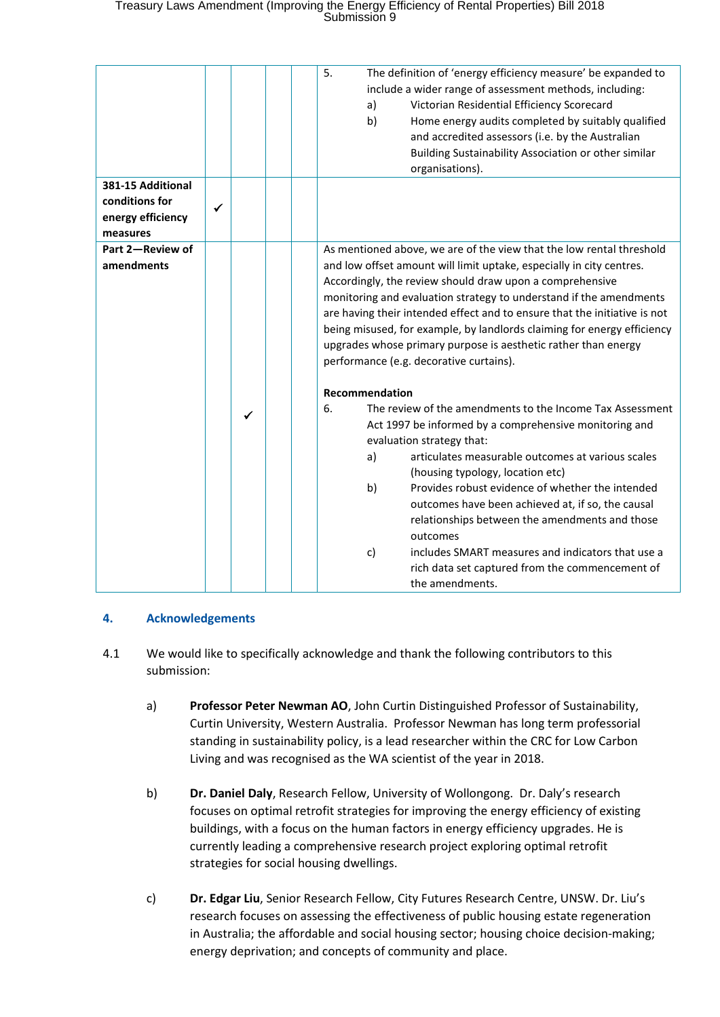# Treasury Laws Amendment (Improving the Energy Efficiency of Rental Properties) Bill 2018<br>Submission 9

|                              |   |  | 5.<br>The definition of 'energy efficiency measure' be expanded to<br>include a wider range of assessment methods, including:<br>Victorian Residential Efficiency Scorecard<br>a)<br>b)<br>Home energy audits completed by suitably qualified<br>and accredited assessors (i.e. by the Australian<br>Building Sustainability Association or other similar<br>organisations). |
|------------------------------|---|--|------------------------------------------------------------------------------------------------------------------------------------------------------------------------------------------------------------------------------------------------------------------------------------------------------------------------------------------------------------------------------|
| 381-15 Additional            |   |  |                                                                                                                                                                                                                                                                                                                                                                              |
| conditions for               | ✓ |  |                                                                                                                                                                                                                                                                                                                                                                              |
| energy efficiency            |   |  |                                                                                                                                                                                                                                                                                                                                                                              |
| measures<br>Part 2-Review of |   |  | As mentioned above, we are of the view that the low rental threshold                                                                                                                                                                                                                                                                                                         |
| amendments                   |   |  | and low offset amount will limit uptake, especially in city centres.                                                                                                                                                                                                                                                                                                         |
|                              |   |  | Accordingly, the review should draw upon a comprehensive                                                                                                                                                                                                                                                                                                                     |
|                              |   |  | monitoring and evaluation strategy to understand if the amendments                                                                                                                                                                                                                                                                                                           |
|                              |   |  | are having their intended effect and to ensure that the initiative is not                                                                                                                                                                                                                                                                                                    |
|                              |   |  | being misused, for example, by landlords claiming for energy efficiency                                                                                                                                                                                                                                                                                                      |
|                              |   |  | upgrades whose primary purpose is aesthetic rather than energy                                                                                                                                                                                                                                                                                                               |
|                              |   |  | performance (e.g. decorative curtains).                                                                                                                                                                                                                                                                                                                                      |
|                              |   |  | Recommendation                                                                                                                                                                                                                                                                                                                                                               |
|                              |   |  | The review of the amendments to the Income Tax Assessment<br>6.                                                                                                                                                                                                                                                                                                              |
|                              |   |  | Act 1997 be informed by a comprehensive monitoring and                                                                                                                                                                                                                                                                                                                       |
|                              |   |  | evaluation strategy that:                                                                                                                                                                                                                                                                                                                                                    |
|                              |   |  | articulates measurable outcomes at various scales<br>a)                                                                                                                                                                                                                                                                                                                      |
|                              |   |  | (housing typology, location etc)                                                                                                                                                                                                                                                                                                                                             |
|                              |   |  | b)<br>Provides robust evidence of whether the intended                                                                                                                                                                                                                                                                                                                       |
|                              |   |  | outcomes have been achieved at, if so, the causal                                                                                                                                                                                                                                                                                                                            |
|                              |   |  | relationships between the amendments and those<br>outcomes                                                                                                                                                                                                                                                                                                                   |
|                              |   |  | includes SMART measures and indicators that use a<br>c)                                                                                                                                                                                                                                                                                                                      |
|                              |   |  | rich data set captured from the commencement of                                                                                                                                                                                                                                                                                                                              |
|                              |   |  | the amendments.                                                                                                                                                                                                                                                                                                                                                              |

## **4. Acknowledgements**

- 4.1 We would like to specifically acknowledge and thank the following contributors to this submission:
	- a) **Professor Peter Newman AO**, John Curtin Distinguished Professor of Sustainability, Curtin University, Western Australia. Professor Newman has long term professorial standing in sustainability policy, is a lead researcher within the CRC for Low Carbon Living and was recognised as the WA scientist of the year in 2018.
	- b) **Dr. Daniel Daly**, Research Fellow, University of Wollongong. Dr. Daly's research focuses on optimal retrofit strategies for improving the energy efficiency of existing buildings, with a focus on the human factors in energy efficiency upgrades. He is currently leading a comprehensive research project exploring optimal retrofit strategies for social housing dwellings.
	- c) **Dr. Edgar Liu**, Senior Research Fellow, City Futures Research Centre, UNSW. Dr. Liu's research focuses on assessing the effectiveness of public housing estate regeneration in Australia; the affordable and social housing sector; housing choice decision-making; energy deprivation; and concepts of community and place.